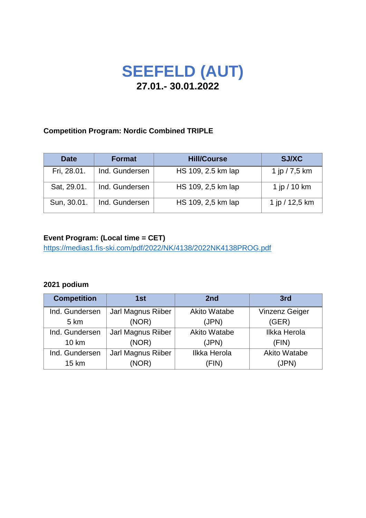# **SEEFELD (AUT) 27.01.- 30.01.2022**

### **Competition Program: Nordic Combined TRIPLE**

| <b>Date</b> | <b>Format</b>  | <b>Hill/Course</b> | <b>SJ/XC</b>     |
|-------------|----------------|--------------------|------------------|
| Fri, 28.01. | Ind. Gundersen | HS 109, 2.5 km lap | 1 jp $/ 7, 5$ km |
| Sat, 29.01. | Ind. Gundersen | HS 109, 2,5 km lap | 1 jp / 10 km     |
| Sun, 30.01. | Ind. Gundersen | HS 109, 2,5 km lap | 1 jp / 12,5 km   |

## **Event Program: (Local time = CET)**

<https://medias1.fis-ski.com/pdf/2022/NK/4138/2022NK4138PROG.pdf>

## **2021 podium**

| <b>Competition</b> | 1st                | 2nd                 | 3rd                   |
|--------------------|--------------------|---------------------|-----------------------|
| Ind. Gundersen     | Jarl Magnus Riiber | <b>Akito Watabe</b> | <b>Vinzenz Geiger</b> |
| 5 km               | (NOR)              | (JPN)               | (GER)                 |
| Ind. Gundersen     | Jarl Magnus Riiber | <b>Akito Watabe</b> | <b>Ilkka Herola</b>   |
| $10 \text{ km}$    | (NOR)              | (JPN)               | (FIN)                 |
| Ind. Gundersen     | Jarl Magnus Riiber | Ilkka Herola        | <b>Akito Watabe</b>   |
| 15 km              | (NOR)              | (FIN)               | (JPN)                 |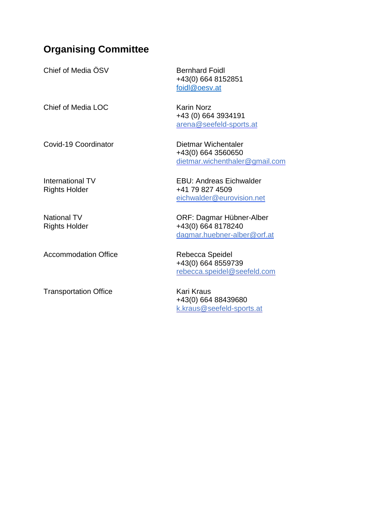## **Organising Committee**

| Chief of Media ÖSV                         | <b>Bernhard Foidl</b><br>+43(0) 664 8152851<br>foidl@oesv.at                   |
|--------------------------------------------|--------------------------------------------------------------------------------|
| Chief of Media LOC                         | <b>Karin Norz</b><br>+43 (0) 664 3934191<br>arena@seefeld-sports.at            |
| Covid-19 Coordinator                       | Dietmar Wichentaler<br>+43(0) 664 3560650<br>dietmar.wichenthaler@gmail.com    |
| International TV<br><b>Rights Holder</b>   | <b>EBU: Andreas Eichwalder</b><br>+41 79 827 4509<br>eichwalder@eurovision.net |
| <b>National TV</b><br><b>Rights Holder</b> | ORF: Dagmar Hübner-Alber<br>+43(0) 664 8178240<br>dagmar.huebner-alber@orf.at  |
| <b>Accommodation Office</b>                | Rebecca Speidel<br>+43(0) 664 8559739<br>rebecca.speidel@seefeld.com           |

Transportation Office **Kari Kraus** Kari Kraus

+43(0) 664 88439680 k.kraus@seefeld-sports.at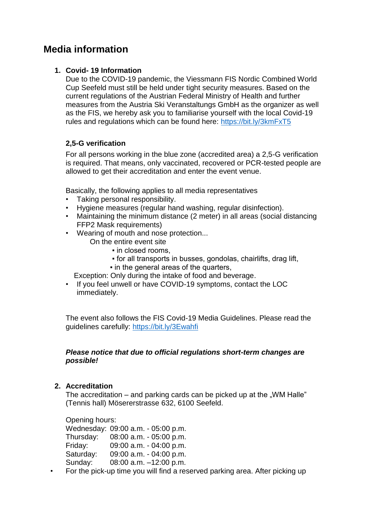## **Media information**

## **1. Covid- 19 Information**

Due to the COVID-19 pandemic, the Viessmann FIS Nordic Combined World Cup Seefeld must still be held under tight security measures. Based on the current regulations of the Austrian Federal Ministry of Health and further measures from the Austria Ski Veranstaltungs GmbH as the organizer as well as the FIS, we hereby ask you to familiarise yourself with the local Covid-19 rules and regulations which can be found here:<https://bit.ly/3kmFxT5>

## **2,5-G verification**

For all persons working in the blue zone (accredited area) a 2,5-G verification is required. That means, only vaccinated, recovered or PCR-tested people are allowed to get their accreditation and enter the event venue.

Basically, the following applies to all media representatives

- Taking personal responsibility.
- Hygiene measures (regular hand washing, regular disinfection).
- Maintaining the minimum distance (2 meter) in all areas (social distancing FFP2 Mask requirements)
- Wearing of mouth and nose protection...
	- On the entire event site
		- in closed rooms,
		- for all transports in busses, gondolas, chairlifts, drag lift,
		- in the general areas of the quarters,

Exception: Only during the intake of food and beverage.

• If you feel unwell or have COVID-19 symptoms, contact the LOC immediately.

The event also follows the FIS Covid-19 Media Guidelines. Please read the guidelines carefully: <https://bit.ly/3Ewahfi>

#### *Please notice that due to official regulations short-term changes are possible!*

#### **2. Accreditation**

The accreditation  $-$  and parking cards can be picked up at the "WM Halle" (Tennis hall) Mösererstrasse 632, 6100 Seefeld.

Opening hours: Wednesday: 09:00 a.m. - 05:00 p.m. Thursday: 08:00 a.m. - 05:00 p.m. Friday: 09:00 a.m. - 04:00 p.m. Saturday: 09:00 a.m. - 04:00 p.m. Sunday: 08:00 a.m. –12:00 p.m.

• For the pick-up time you will find a reserved parking area. After picking up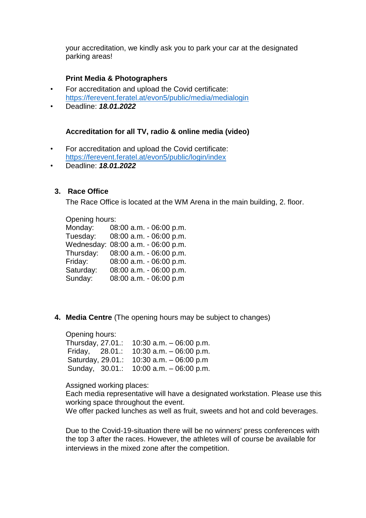your accreditation, we kindly ask you to park your car at the designated parking areas!

#### **Print Media & Photographers**

- For accreditation and upload the Covid certificate: <https://ferevent.feratel.at/evon5/public/media/medialogin>
- Deadline: *18.01.2022*

#### **Accreditation for all TV, radio & online media (video)**

- For accreditation and upload the Covid certificate: <https://ferevent.feratel.at/evon5/public/login/index>
- Deadline: *18.01.2022*

#### **3. Race Office**

The Race Office is located at the WM Arena in the main building, 2. floor.

#### Opening hours:

| Monday:    | 08:00 a.m. - 06:00 p.m. |
|------------|-------------------------|
|            |                         |
| Tuesday:   | 08:00 a.m. - 06:00 p.m. |
| Wednesday: | 08:00 a.m. - 06:00 p.m. |
| Thursday:  | 08:00 a.m. - 06:00 p.m. |
| Friday:    | 08:00 a.m. - 06:00 p.m. |
| Saturday:  | 08:00 a.m. - 06:00 p.m. |
| Sunday:    | 08:00 a.m. - 06:00 p.m  |

**4. Media Centre** (The opening hours may be subject to changes)

Opening hours: Thursday, 27.01.: 10:30 a.m. – 06:00 p.m. Friday, 28.01.: 10:30 a.m. – 06:00 p.m. Saturday, 29.01.: 10:30 a.m. – 06:00 p.m Sunday, 30.01.: 10:00 a.m. – 06:00 p.m.

Assigned working places:

Each media representative will have a designated workstation. Please use this working space throughout the event.

We offer packed lunches as well as fruit, sweets and hot and cold beverages.

Due to the Covid-19-situation there will be no winners' press conferences with the top 3 after the races. However, the athletes will of course be available for interviews in the mixed zone after the competition.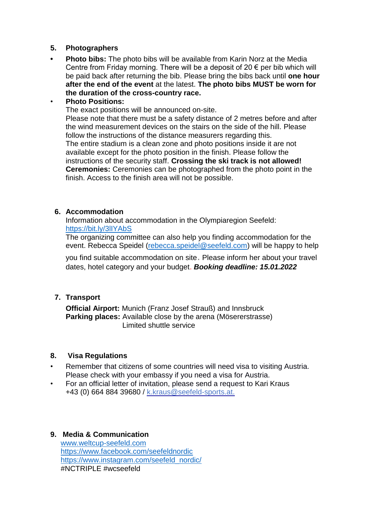#### **5. Photographers**

**• Photo bibs:** The photo bibs will be available from Karin Norz at the Media Centre from Friday morning. There will be a deposit of 20  $\epsilon$  per bib which will be paid back after returning the bib. Please bring the bibs back until **one hour after the end of the event** at the latest. **The photo bibs MUST be worn for the duration of the cross-country race.** 

#### • **Photo Positions:**

The exact positions will be announced on-site.

Please note that there must be a safety distance of 2 metres before and after the wind measurement devices on the stairs on the side of the hill. Please follow the instructions of the distance measurers regarding this. The entire stadium is a clean zone and photo positions inside it are not available except for the photo position in the finish. Please follow the instructions of the security staff. **Crossing the ski track is not allowed! Ceremonies:** Ceremonies can be photographed from the photo point in the finish. Access to the finish area will not be possible.

#### **6. Accommodation**

Information about accommodation in the Olympiaregion Seefeld: <https://bit.ly/3lIYAbS>

The organizing committee can also help you finding accommodation for the event. Rebecca Speidel ([rebecca.speidel@seefeld.com](mailto:rebecca.speidel@seefeld.com)) will be happy to help

you find suitable accommodation on site. Please inform her about your travel dates, hotel category and your budget. *Booking deadline: 15.01.2022*

## **7. Transport**

**Official Airport:** Munich (Franz Josef Strauß) and Innsbruck **Parking places:** Available close by the arena (Mösererstrasse) Limited shuttle service

#### **8. Visa Regulations**

- Remember that citizens of some countries will need visa to visiting Austria. Please check with your embassy if you need a visa for Austria.
- For an official letter of invitation, please send a request to Kari Kraus +43 (0) 664 884 39680 / [k.kraus@seefeld-sports.at.](mailto:y.kirnbauer@seefeld-sports.at?subject=)

#### **9. Media & Communication** [www.weltcup-seefeld.com](http://www.weltcup-seefeld.com/) <https://www.facebook.com/seefeldnordic> [https://www.instagram.com/seefeld\\_nordic/](https://www.instagram.com/seefeld_nordic/) #NCTRIPLE #wcseefeld